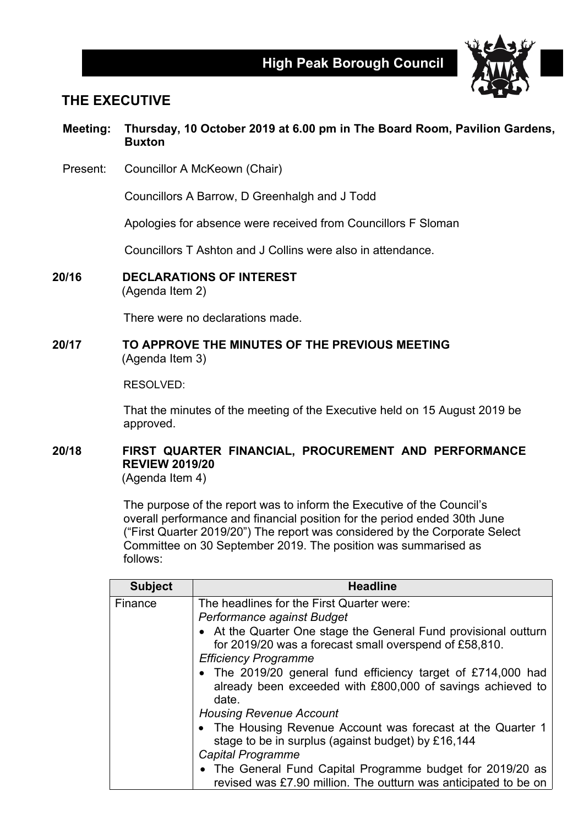

## **THE EXECUTIVE**

### **Meeting: Thursday, 10 October 2019 at 6.00 pm in The Board Room, Pavilion Gardens, Buxton**

Present: Councillor A McKeown (Chair)

Councillors A Barrow, D Greenhalgh and J Todd

Apologies for absence were received from Councillors F Sloman

Councillors T Ashton and J Collins were also in attendance.

**20/16 DECLARATIONS OF INTEREST**

(Agenda Item 2)

There were no declarations made.

#### **20/17 TO APPROVE THE MINUTES OF THE PREVIOUS MEETING** (Agenda Item 3)

RESOLVED:

That the minutes of the meeting of the Executive held on 15 August 2019 be approved.

# **20/18 FIRST QUARTER FINANCIAL, PROCUREMENT AND PERFORMANCE REVIEW 2019/20**

(Agenda Item 4)

The purpose of the report was to inform the Executive of the Council's overall performance and financial position for the period ended 30th June ("First Quarter 2019/20") The report was considered by the Corporate Select Committee on 30 September 2019. The position was summarised as follows:

| <b>Subject</b> | <b>Headline</b>                                                                                                                                                                                                                                                                                     |
|----------------|-----------------------------------------------------------------------------------------------------------------------------------------------------------------------------------------------------------------------------------------------------------------------------------------------------|
| Finance        | The headlines for the First Quarter were:<br>Performance against Budget<br>• At the Quarter One stage the General Fund provisional outturn<br>for 2019/20 was a forecast small overspend of £58,810.<br><b>Efficiency Programme</b><br>• The 2019/20 general fund efficiency target of £714,000 had |
|                | already been exceeded with £800,000 of savings achieved to<br>date.<br><b>Housing Revenue Account</b>                                                                                                                                                                                               |
|                | • The Housing Revenue Account was forecast at the Quarter 1<br>stage to be in surplus (against budget) by £16,144<br><b>Capital Programme</b>                                                                                                                                                       |
|                | • The General Fund Capital Programme budget for 2019/20 as<br>revised was £7.90 million. The outturn was anticipated to be on                                                                                                                                                                       |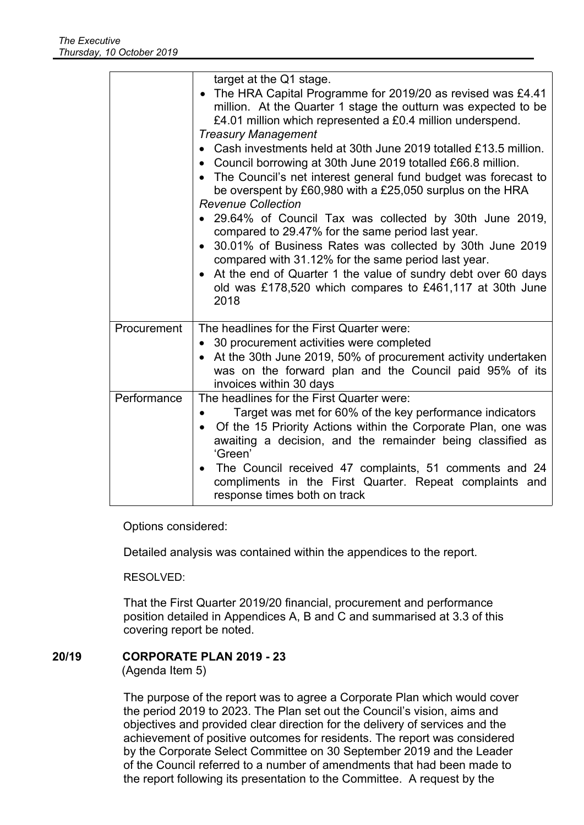|             | target at the Q1 stage.<br>• The HRA Capital Programme for 2019/20 as revised was £4.41<br>million. At the Quarter 1 stage the outturn was expected to be<br>£4.01 million which represented a £0.4 million underspend.<br><b>Treasury Management</b><br>• Cash investments held at 30th June 2019 totalled £13.5 million.<br>• Council borrowing at 30th June 2019 totalled £66.8 million.<br>The Council's net interest general fund budget was forecast to<br>be overspent by £60,980 with a £25,050 surplus on the HRA<br><b>Revenue Collection</b><br>• 29.64% of Council Tax was collected by 30th June 2019,<br>compared to 29.47% for the same period last year.<br>30.01% of Business Rates was collected by 30th June 2019<br>compared with 31.12% for the same period last year.<br>At the end of Quarter 1 the value of sundry debt over 60 days<br>old was £178,520 which compares to £461,117 at 30th June<br>2018 |
|-------------|----------------------------------------------------------------------------------------------------------------------------------------------------------------------------------------------------------------------------------------------------------------------------------------------------------------------------------------------------------------------------------------------------------------------------------------------------------------------------------------------------------------------------------------------------------------------------------------------------------------------------------------------------------------------------------------------------------------------------------------------------------------------------------------------------------------------------------------------------------------------------------------------------------------------------------|
| Procurement | The headlines for the First Quarter were:<br>• 30 procurement activities were completed<br>At the 30th June 2019, 50% of procurement activity undertaken<br>was on the forward plan and the Council paid 95% of its<br>invoices within 30 days                                                                                                                                                                                                                                                                                                                                                                                                                                                                                                                                                                                                                                                                                   |
| Performance | The headlines for the First Quarter were:<br>Target was met for 60% of the key performance indicators<br>Of the 15 Priority Actions within the Corporate Plan, one was<br>awaiting a decision, and the remainder being classified as<br>'Green'<br>The Council received 47 complaints, 51 comments and 24<br>compliments in the First Quarter. Repeat complaints and<br>response times both on track                                                                                                                                                                                                                                                                                                                                                                                                                                                                                                                             |

Options considered:

Detailed analysis was contained within the appendices to the report.

RESOLVED:

That the First Quarter 2019/20 financial, procurement and performance position detailed in Appendices A, B and C and summarised at 3.3 of this covering report be noted.

### **20/19 CORPORATE PLAN 2019 - 23**

(Agenda Item 5)

The purpose of the report was to agree a Corporate Plan which would cover the period 2019 to 2023. The Plan set out the Council's vision, aims and objectives and provided clear direction for the delivery of services and the achievement of positive outcomes for residents. The report was considered by the Corporate Select Committee on 30 September 2019 and the Leader of the Council referred to a number of amendments that had been made to the report following its presentation to the Committee. A request by the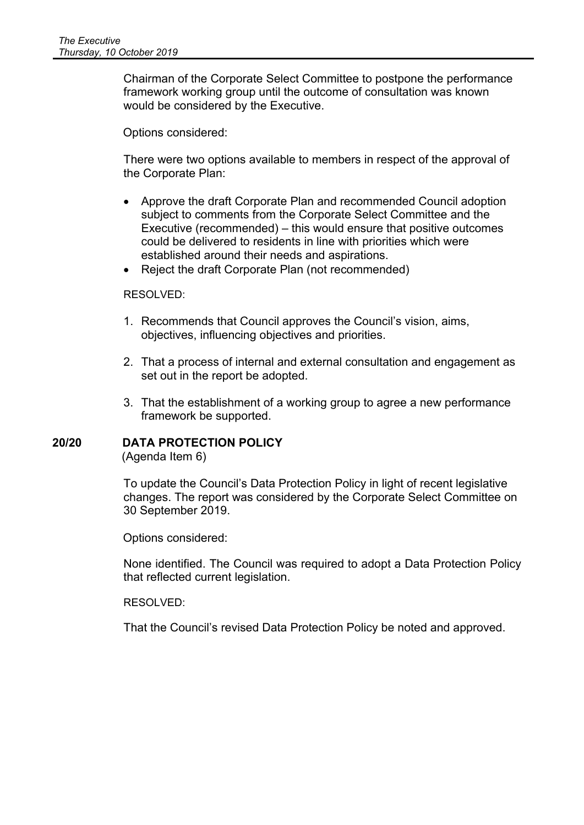Chairman of the Corporate Select Committee to postpone the performance framework working group until the outcome of consultation was known would be considered by the Executive.

Options considered:

There were two options available to members in respect of the approval of the Corporate Plan:

- Approve the draft Corporate Plan and recommended Council adoption subject to comments from the Corporate Select Committee and the Executive (recommended) – this would ensure that positive outcomes could be delivered to residents in line with priorities which were established around their needs and aspirations.
- Reject the draft Corporate Plan (not recommended)

#### RESOLVED:

- 1. Recommends that Council approves the Council's vision, aims, objectives, influencing objectives and priorities.
- 2. That a process of internal and external consultation and engagement as set out in the report be adopted.
- 3. That the establishment of a working group to agree a new performance framework be supported.

#### **20/20 DATA PROTECTION POLICY** (Agenda Item 6)

To update the Council's Data Protection Policy in light of recent legislative changes. The report was considered by the Corporate Select Committee on 30 September 2019.

Options considered:

None identified. The Council was required to adopt a Data Protection Policy that reflected current legislation.

RESOLVED:

That the Council's revised Data Protection Policy be noted and approved.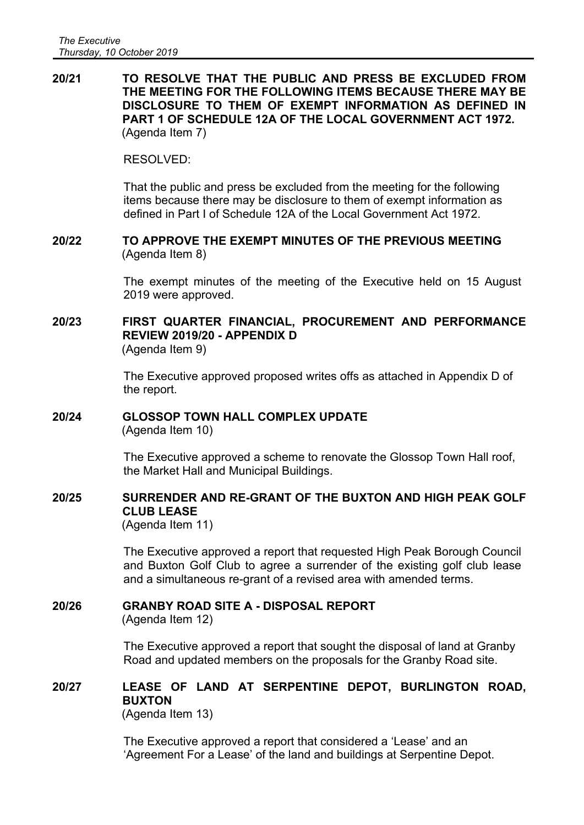**20/21 TO RESOLVE THAT THE PUBLIC AND PRESS BE EXCLUDED FROM THE MEETING FOR THE FOLLOWING ITEMS BECAUSE THERE MAY BE DISCLOSURE TO THEM OF EXEMPT INFORMATION AS DEFINED IN PART 1 OF SCHEDULE 12A OF THE LOCAL GOVERNMENT ACT 1972.** (Agenda Item 7)

#### RESOLVED:

That the public and press be excluded from the meeting for the following items because there may be disclosure to them of exempt information as defined in Part I of Schedule 12A of the Local Government Act 1972.

#### **20/22 TO APPROVE THE EXEMPT MINUTES OF THE PREVIOUS MEETING** (Agenda Item 8)

The exempt minutes of the meeting of the Executive held on 15 August 2019 were approved.

# **20/23 FIRST QUARTER FINANCIAL, PROCUREMENT AND PERFORMANCE REVIEW 2019/20 - APPENDIX D**

(Agenda Item 9)

The Executive approved proposed writes offs as attached in Appendix D of the report.

# **20/24 GLOSSOP TOWN HALL COMPLEX UPDATE**

(Agenda Item 10)

The Executive approved a scheme to renovate the Glossop Town Hall roof, the Market Hall and Municipal Buildings.

### **20/25 SURRENDER AND RE-GRANT OF THE BUXTON AND HIGH PEAK GOLF CLUB LEASE**

(Agenda Item 11)

The Executive approved a report that requested High Peak Borough Council and Buxton Golf Club to agree a surrender of the existing golf club lease and a simultaneous re-grant of a revised area with amended terms.

### **20/26 GRANBY ROAD SITE A - DISPOSAL REPORT**

(Agenda Item 12)

The Executive approved a report that sought the disposal of land at Granby Road and updated members on the proposals for the Granby Road site.

## **20/27 LEASE OF LAND AT SERPENTINE DEPOT, BURLINGTON ROAD, BUXTON**

(Agenda Item 13)

The Executive approved a report that considered a 'Lease' and an 'Agreement For a Lease' of the land and buildings at Serpentine Depot.